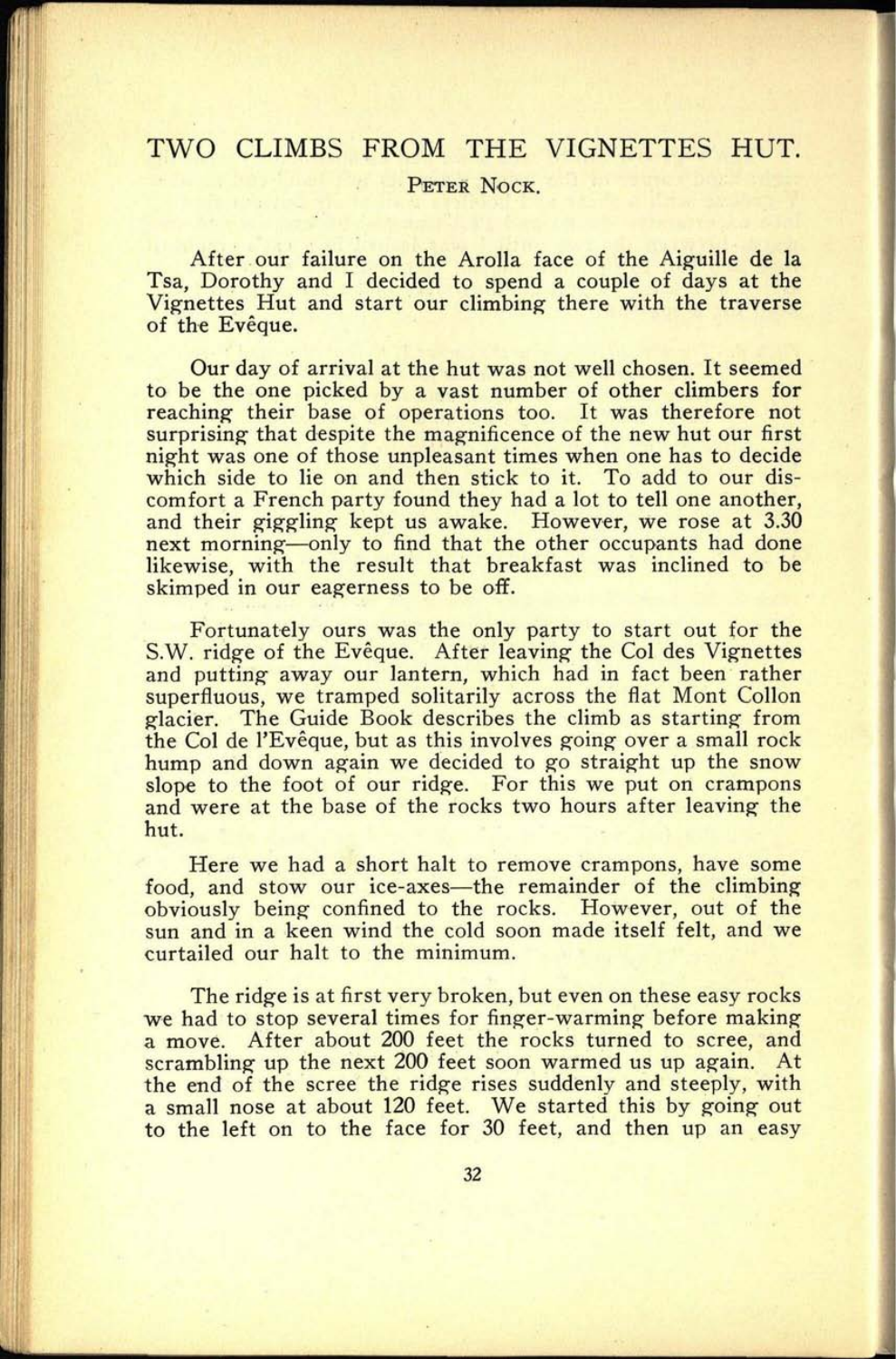## TWO CLIMBS FROM THE VIGNETTES HUT.

PETER NOCK.

After our failure on the Arolla face of the Aiguille de la Tsa, Dorothy and I decided to spend a couple of days at the Vignettes Hut and start our climbing there with the traverse of the Eveque.

Our day of arrival at the hut was not well chosen. It seemed to be the one picked by a vast number of other climbers for reaching their base of operations too. It was therefore not surprising that despite the magnificence of the new hut our first night was one of those unpleasant times when one has to decide which side to lie on and then stick to it. To add to our discomfort a French party found they had a lot to tell one another, and their giggling kept us awake. However, we rose at 3.30 next morning—only to find that the other occupants had done likewise, with the result that breakfast was inclined to be skimped in our eagerness to be off.

Fortunately ours was the only party to start out for the S.W. ridge of the Evêque. After leaving the Col des Vignettes and putting away our lantern, which had in fact been rather superfluous, we tramped solitarily across the flat Mont Collon glacier. The Guide Book describes the climb as starting from the Col de l'Evêque, but as this involves going over a small rock hump and down again we decided to go straight up the snow slope to the foot of our ridge. For this we put on crampons and were at the base of the rocks two hours after leaving the hut.

Here we had a short halt to remove crampons, have some food, and stow our ice-axes—the remainder of the climbing obviously being confined to the rocks. However, out of the sun and in a keen wind the cold soon made itself felt, and we curtailed our halt to the minimum.

The ridge is at first very broken, but even on these easy rocks we had to stop several times for finger-warming before making <sup>a</sup>move. After about 200 feet the rocks turned to scree, and scrambling up the next 200 feet soon warmed us up again. At the end of the scree the ridge rises suddenly and steeply, with a small nose at about 120 feet. We started this by going out to the left on to the face for 30 feet, and then up an easy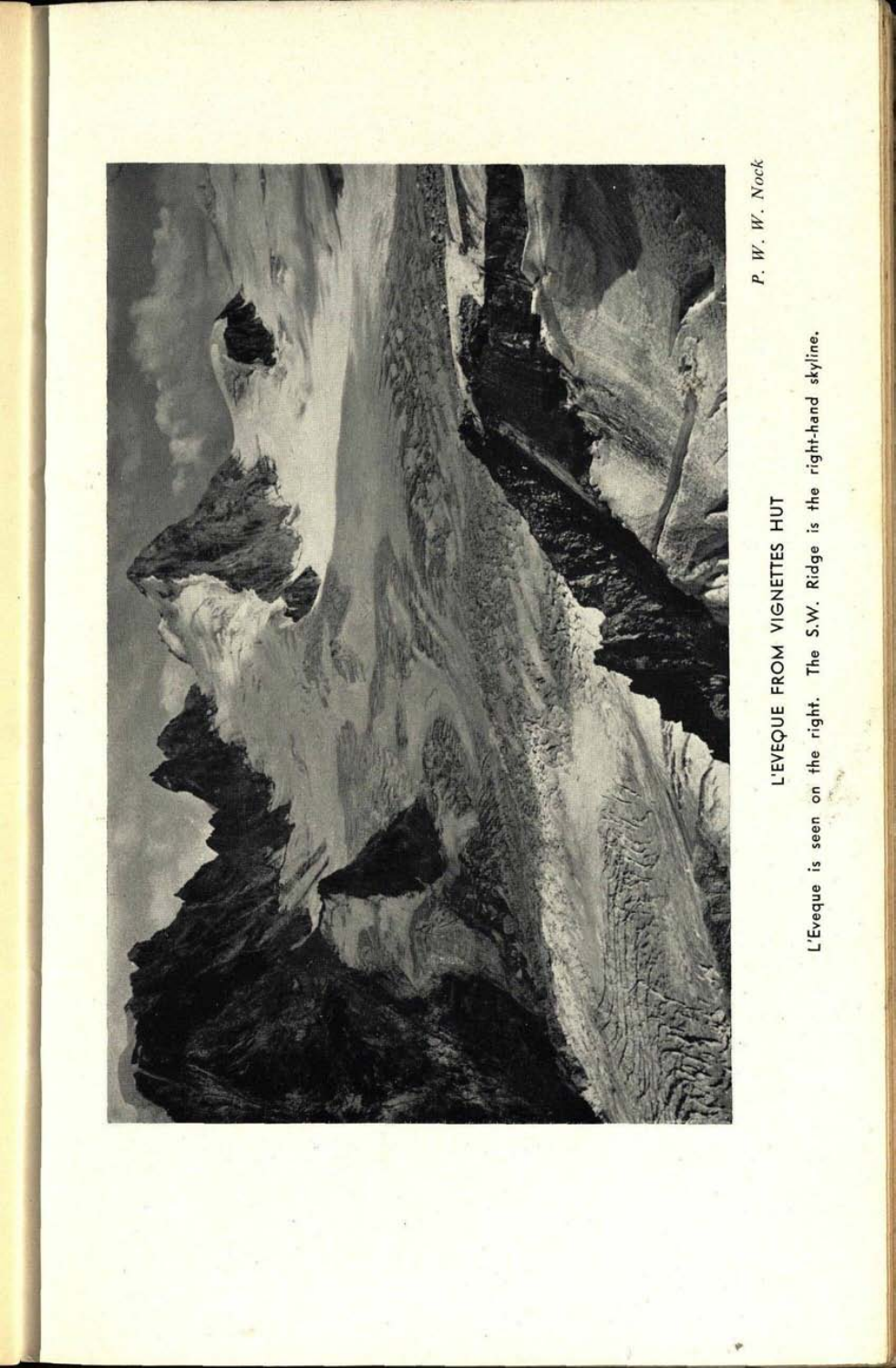

**43. 0130**

L'Eveque is seen on the right. The S.W. Ridge is the right-hand skyline. L'Eveque is seen on the right. The S.W. Ridge is the right-hand skyline.

 $P.$  W. W. Nock *P. W. W. Nock*

> L'EVEQUE FROM VIGNETTES HUT L'EVEQUE FROM VIGNETTES HUT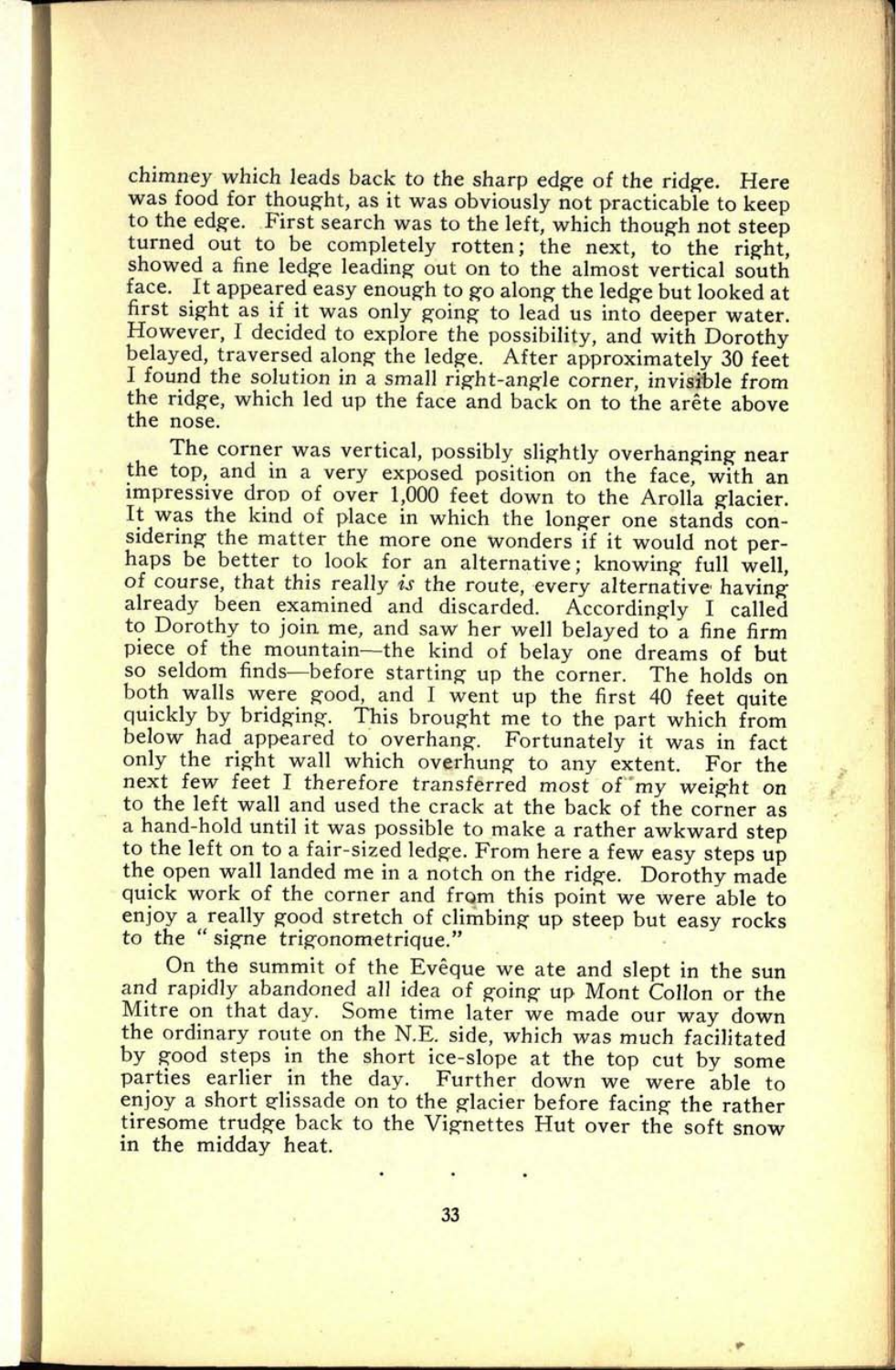chimney which leads back to the sharp edge of the ridge. Here was food for thought, as it was obviously not practicable to keep<br>to the edge. First search was to the left, which though not steep turned out to be completely rotten; the next, to the right, showed a fine ledge leading out on to the almost vertical south face. It appeared easy enough to go along the ledge but looked at first sight as if it was only going to lead us into deeper water. However, I decided to explore the possibility, and with Dorothy belayed, traversed along the ledge. After approximately 30 feet I found the solution in a small right-angle corner, invisible from the ridge, which led up the face and back on to the arête above the nose.

1

**45. 0132**

The corner was vertical, possibly slightly overhanging near<br>the top, and in a very exposed position on the face, with an impressive drop of over 1,000 feet down to the Arolla glacier. It was the kind of place in which the longer one stands considering the matter the more one wonders if it would not perhaps be better to look for an alternative; knowing full well, of course, that this really *is* the route, every alternative having already been examined and discarded. Accordingly I called to Dorothy to join me, and saw her well belayed to a fine firm piece of the mountain—the kind of belay one dreams of but<br>so seldom finds—before starting up the corner. The holds on both walls were good, and I went up the first 40 feet quite quickly by bridging. This brought me to the part which from below had appeared to overhang. Fortunately it was in fact only the right wall which overhung to any extent. For the next few feet I therefore transferred most of my weight on to the left wall and used the crack at the back of the corner as a hand-hold until it was possible to make a rather awkward step to the left on to a fair-sized ledge. From here a few easy steps up the open wall landed me in a notch on the ridge. Dorothy made quick work of the corner and from this point we were able to enjoy a really good stretch of climbing up steep but easy rocks to the " signe trigonometrique."

On the summit of the Eveque we ate and slept in the sun and rapidly abandoned all idea of going up Mont Collon or the Mitre on that day. Some time later we made our way down the ordinary route on the N.E. side, which was much facilitated by good steps in the short ice-slope at the top cut by some parties earlier in the day. Further down we were able to enjoy a short glissade on to the glacier before facing the rather tiresome trudge back to the Vignettes Hut over the soft snow in the midday heat.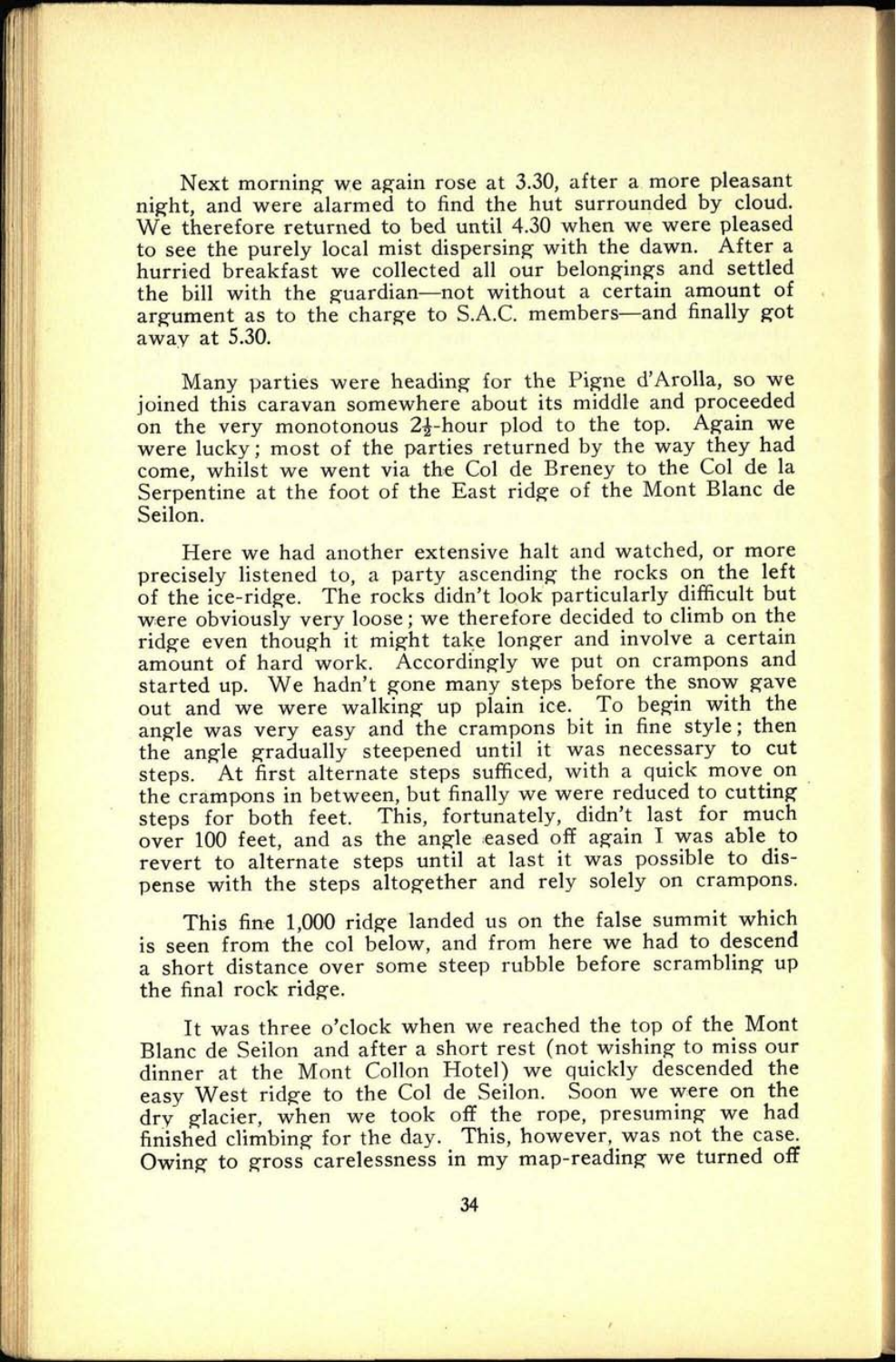Next morning we again rose at 3.30, after a more pleasant night, and were alarmed to find the hut surrounded by cloud. We therefore returned to bed until 4.30 when we were pleased to see the purely local mist dispersing with the dawn. After <sup>a</sup> hurried breakfast we collected all our belongings and settled the bill with the guardian-not without a certain amount of argument as to the charge to S.A.C. members-and finally got away at 5.30.

Many parties were heading for the Pigne d'Arolla, so we joined this caravan somewhere about its middle and proceeded on the very monotonous  $2\frac{1}{2}$ -hour plod to the top. Again we were lucky; most of the parties returned by the way they had come, whilst we went via the Col de Breney to the Col de la Serpentine at the foot of the East ridge of the Mont Blanc de Seilon.

Here we had another extensive halt and watched, or more precisely listened to, a party ascending the rocks on the left of the ice-ridge. The rocks didn't look particularly difficult but were obviously very loose; we therefore decided to climb on the ridge even though it might take longer and involve a certain amount of hard work. Accordingly we put on crampons and started up. We hadn't gone many steps before the snow gave out and we were walking up plain ice. To begin with the angle was very easy and the crampons bit in fine style; then the angle gradually steepened until it was necessary to cut steps. At first alternate steps sufficed, with a quick move on the crampons in between, but finally we were reduced to cutting steps for both feet. This, fortunately, didn't last for much over 100 feet, and as the angle eased off again I was able to revert to alternate steps until at last it was possible to dispense with the steps altogether and rely solely on crampons.

This fine 1,000 ridge landed us on the false summit which is seen from the col below, and from here we had to descend a short distance over some steep rubble before scrambling up the final rock ridge.

It was three o'clock when we reached the top of the Mont Blanc de Seilon and after a short rest (not wishing to miss our dinner at the Mont Collon Hotel) we quickly descended the easy West ridge to the Col de Seilon. Soon we were on the dry glacier, when we took off the rope, presuming we had finished climbing for the day. This, however, was not the case. Owing to gross carelessness in my map-reading we turned off